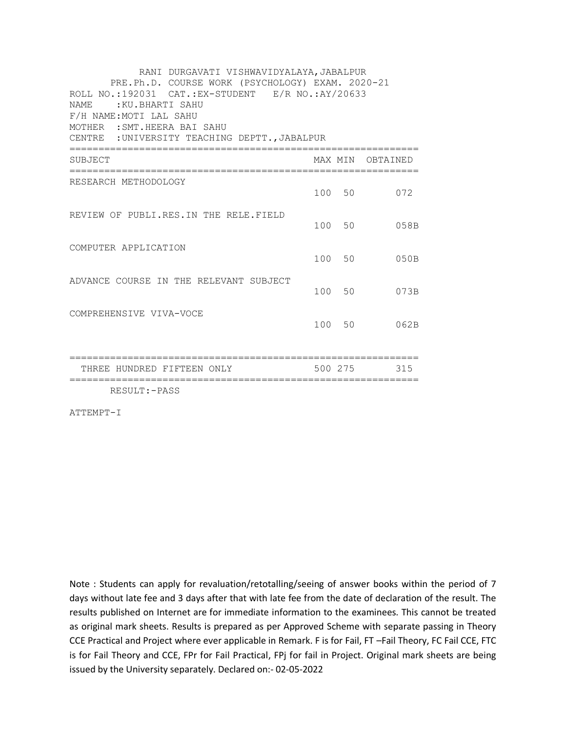| RANI DURGAVATI VISHWAVIDYALAYA, JABALPUR<br>PRE.Ph.D. COURSE WORK (PSYCHOLOGY) EXAM. 2020-21<br>ROLL NO.:192031 CAT.:EX-STUDENT E/R NO.:AY/20633<br><b>NAME</b><br>:KU.BHARTI SAHU<br>F/H NAME: MOTI LAL SAHU<br>MOTHER : SMT. HEERA BAI SAHU<br>CENTRE : UNIVERSITY TEACHING DEPTT., JABALPUR<br>========== |         |                  |
|--------------------------------------------------------------------------------------------------------------------------------------------------------------------------------------------------------------------------------------------------------------------------------------------------------------|---------|------------------|
| SUBJECT                                                                                                                                                                                                                                                                                                      |         | MAX MIN OBTAINED |
| RESEARCH METHODOLOGY                                                                                                                                                                                                                                                                                         | 100 50  | 072              |
| REVIEW OF PUBLI.RES.IN THE RELE.FIELD                                                                                                                                                                                                                                                                        | 100 50  | 058B             |
| COMPUTER APPLICATION                                                                                                                                                                                                                                                                                         | 100 50  | 050B             |
| ADVANCE COURSE IN THE RELEVANT SUBJECT                                                                                                                                                                                                                                                                       | 100 50  | 073B             |
| COMPREHENSIVE VIVA-VOCE                                                                                                                                                                                                                                                                                      | 100 50  | 062B             |
| THREE HUNDRED FIFTEEN ONLY                                                                                                                                                                                                                                                                                   | 500 275 | 315              |
| RESULT: - PASS                                                                                                                                                                                                                                                                                               |         |                  |

ATTEMPT-I

Note : Students can apply for revaluation/retotalling/seeing of answer books within the period of 7 days without late fee and 3 days after that with late fee from the date of declaration of the result. The results published on Internet are for immediate information to the examinees. This cannot be treated as original mark sheets. Results is prepared as per Approved Scheme with separate passing in Theory CCE Practical and Project where ever applicable in Remark. F is for Fail, FT –Fail Theory, FC Fail CCE, FTC is for Fail Theory and CCE, FPr for Fail Practical, FPj for fail in Project. Original mark sheets are being issued by the University separately. Declared on:- 02-05-2022